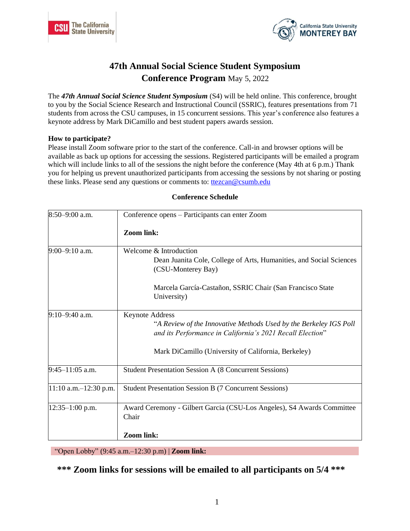



# **47th Annual Social Science Student Symposium Conference Program** May 5, 2022

The *47th Annual Social Science Student Symposium* (S4) will be held online. This conference, brought to you by the Social Science Research and Instructional Council (SSRIC), features presentations from 71 students from across the CSU campuses, in 15 concurrent sessions. This year's conference also features a keynote address by Mark DiCamillo and best student papers awards session.

### **How to participate?**

Please install Zoom software prior to the start of the conference. Call-in and browser options will be available as back up options for accessing the sessions. Registered participants will be emailed a program which will include links to all of the sessions the night before the conference (May 4th at 6 p.m.) Thank you for helping us prevent unauthorized participants from accessing the sessions by not sharing or posting these links. Please send any questions or comments to: ttezcan@csumb.edu

| 8:50-9:00 a.m.             | Conference opens – Participants can enter Zoom                                                                                                           |  |  |  |
|----------------------------|----------------------------------------------------------------------------------------------------------------------------------------------------------|--|--|--|
|                            | <b>Zoom link:</b>                                                                                                                                        |  |  |  |
| $9:00-9:10$ a.m.           | Welcome & Introduction<br>Dean Juanita Cole, College of Arts, Humanities, and Social Sciences<br>(CSU-Monterey Bay)                                      |  |  |  |
|                            | Marcela García-Castañon, SSRIC Chair (San Francisco State)<br>University)                                                                                |  |  |  |
| $9:10-9:40$ a.m.           | <b>Keynote Address</b><br>"A Review of the Innovative Methods Used by the Berkeley IGS Poll<br>and its Performance in California's 2021 Recall Election" |  |  |  |
|                            | Mark DiCamillo (University of California, Berkeley)                                                                                                      |  |  |  |
| $9:45-11:05$ a.m.          | Student Presentation Session A (8 Concurrent Sessions)                                                                                                   |  |  |  |
| $11:10$ a.m. $-12:30$ p.m. | <b>Student Presentation Session B (7 Concurrent Sessions)</b>                                                                                            |  |  |  |
| $12:35-1:00$ p.m.          | Award Ceremony - Gilbert Garcia (CSU-Los Angeles), S4 Awards Committee<br>Chair<br><b>Zoom link:</b>                                                     |  |  |  |

#### **Conference Schedule**

"Open Lobby" (9:45 a.m.–12:30 p.m) | **Zoom link:**

\*\*\* Zoom links for sessions will be emailed to all participants on 5/4 \*\*\*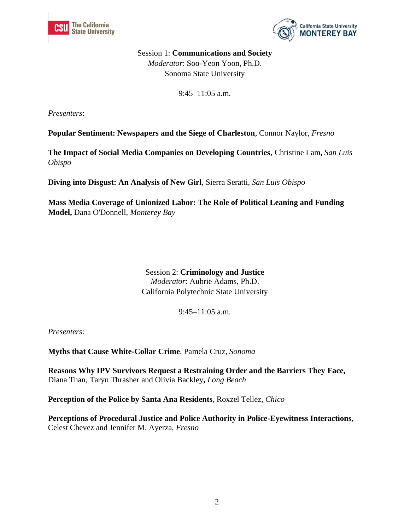



Session 1: **Communications and Society** *Moderator*: Soo-Yeon Yoon, Ph.D. Sonoma State University

9:45–11:05 a.m.

*Presenters*:

**Popular Sentiment: Newspapers and the Siege of Charleston**, Connor Naylor, *Fresno*

**The Impact of Social Media Companies on Developing Countries**, Christine Lam**,** *San Luis Obispo*

**Diving into Disgust: An Analysis of New Girl**, Sierra Seratti, *San Luis Obispo*

**Mass Media Coverage of Unionized Labor: The Role of Political Leaning and Funding Model,** Dana O'Donnell, *Monterey Bay*

> Session 2: **Criminology and Justice** *Moderator*: Aubrie Adams, Ph.D. California Polytechnic State University

> > $9:45-11:05$  a.m.

*Presenters:* 

**Myths that Cause White-Collar Crime**, Pamela Cruz, *Sonoma*

**Reasons Why IPV Survivors Request a Restraining Order and the Barriers They Face,** Diana Than, Taryn Thrasher and Olivia Backley**,** *Long Beach*

**Perception of the Police by Santa Ana Residents**, Roxzel Tellez, *Chico*

**Perceptions of Procedural Justice and Police Authority in Police-Eyewitness Interactions**, Celest Chevez and Jennifer M. Ayerza, *Fresno*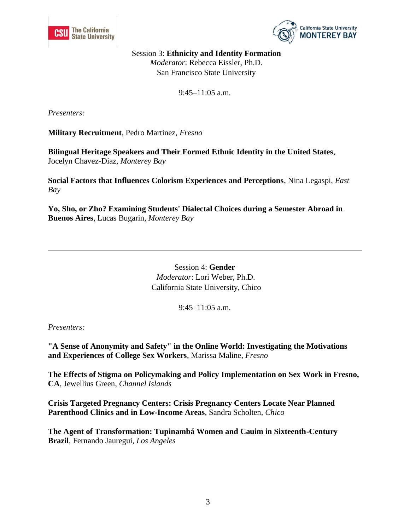



Session 3: **Ethnicity and Identity Formation** *Moderator*: Rebecca Eissler, Ph.D. San Francisco State University

9:45–11:05 a.m.

*Presenters:* 

**Military Recruitment**, Pedro Martinez, *Fresno*

**Bilingual Heritage Speakers and Their Formed Ethnic Identity in the United States**, Jocelyn Chavez-Diaz, *Monterey Bay*

**Social Factors that Influences Colorism Experiences and Perceptions**, Nina Legaspi, *East Bay*

**Yo, Sho, or Zho? Examining Students' Dialectal Choices during a Semester Abroad in Buenos Aires**, Lucas Bugarin, *Monterey Bay*

> Session 4: **Gender** *Moderator*: Lori Weber, Ph.D. California State University, Chico

> > 9:45–11:05 a.m.

*Presenters:* 

**"A Sense of Anonymity and Safety" in the Online World: Investigating the Motivations and Experiences of College Sex Workers**, Marissa Maline, *Fresno*

**The Effects of Stigma on Policymaking and Policy Implementation on Sex Work in Fresno, CA**, Jewellius Green, *Channel Islands* 

**Crisis Targeted Pregnancy Centers: Crisis Pregnancy Centers Locate Near Planned Parenthood Clinics and in Low-Income Areas**, Sandra Scholten, *Chico*

**The Agent of Transformation: Tupinambá Women and Cauim in Sixteenth-Century Brazil**, Fernando Jauregui, *Los Angeles*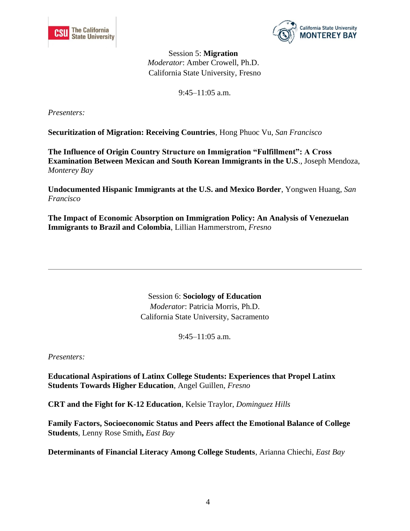



Session 5: **Migration** *Moderator*: Amber Crowell, Ph.D. California State University, Fresno

9:45–11:05 a.m.

*Presenters:* 

**Securitization of Migration: Receiving Countries**, Hong Phuoc Vu, *San Francisco*

**The Influence of Origin Country Structure on Immigration "Fulfillment": A Cross Examination Between Mexican and South Korean Immigrants in the U.S**., Joseph Mendoza, *Monterey Bay*

**Undocumented Hispanic Immigrants at the U.S. and Mexico Border**, Yongwen Huang, *San Francisco*

**The Impact of Economic Absorption on Immigration Policy: An Analysis of Venezuelan Immigrants to Brazil and Colombia**, Lillian Hammerstrom, *Fresno*

> Session 6: **Sociology of Education** *Moderator*: Patricia Morris, Ph.D. California State University, Sacramento

> > $9:45-11:05$  a.m.

*Presenters:* 

**Educational Aspirations of Latinx College Students: Experiences that Propel Latinx Students Towards Higher Education**, Angel Guillen, *Fresno*

**CRT and the Fight for K-12 Education**, Kelsie Traylor, *Dominguez Hills*

**Family Factors, Socioeconomic Status and Peers affect the Emotional Balance of College Students**, Lenny Rose Smith**,** *East Bay*

**Determinants of Financial Literacy Among College Students**, Arianna Chiechi, *East Bay*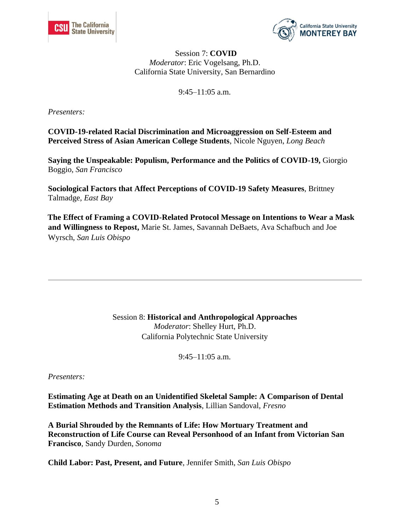



### Session 7: **COVID** *Moderator*: Eric Vogelsang, Ph.D. California State University, San Bernardino

9:45–11:05 a.m.

*Presenters:* 

**COVID-19-related Racial Discrimination and Microaggression on Self-Esteem and Perceived Stress of Asian American College Students**, Nicole Nguyen, *Long Beach*

**Saying the Unspeakable: Populism, Performance and the Politics of COVID-19,** Giorgio Boggio, *San Francisco*

**Sociological Factors that Affect Perceptions of COVID-19 Safety Measures**, Brittney Talmadge, *East Bay*

**The Effect of Framing a COVID-Related Protocol Message on Intentions to Wear a Mask and Willingness to Repost,** Marie St. James, Savannah DeBaets, Ava Schafbuch and Joe Wyrsch, *San Luis Obispo*

> Session 8: **Historical and Anthropological Approaches** *Moderator*: Shelley Hurt, Ph.D. California Polytechnic State University

> > 9:45–11:05 a.m.

*Presenters:* 

**Estimating Age at Death on an Unidentified Skeletal Sample: A Comparison of Dental Estimation Methods and Transition Analysis**, Lillian Sandoval, *Fresno*

**A Burial Shrouded by the Remnants of Life: How Mortuary Treatment and Reconstruction of Life Course can Reveal Personhood of an Infant from Victorian San Francisco**, Sandy Durden, *Sonoma*

**Child Labor: Past, Present, and Future**, Jennifer Smith, *San Luis Obispo*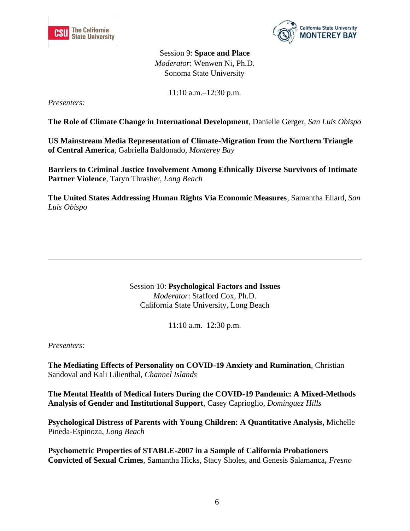



Session 9: **Space and Place** *Moderator*: Wenwen Ni, Ph.D. Sonoma State University

11:10 a.m.–12:30 p.m.

*Presenters:* 

**The Role of Climate Change in International Development**, Danielle Gerger, *San Luis Obispo*

**US Mainstream Media Representation of Climate-Migration from the Northern Triangle of Central America**, Gabriella Baldonado, *Monterey Bay*

**Barriers to Criminal Justice Involvement Among Ethnically Diverse Survivors of Intimate Partner Violence**, Taryn Thrasher, *Long Beach*

**The United States Addressing Human Rights Via Economic Measures**, Samantha Ellard, *San Luis Obispo*

> Session 10: **Psychological Factors and Issues** *Moderator*: Stafford Cox, Ph.D. California State University, Long Beach

> > 11:10 a.m.–12:30 p.m.

*Presenters:* 

**The Mediating Effects of Personality on COVID-19 Anxiety and Rumination**, Christian Sandoval and Kali Lilienthal, *Channel Islands*

**The Mental Health of Medical Inters During the COVID-19 Pandemic: A Mixed-Methods Analysis of Gender and Institutional Support**, Casey Caprioglio, *Dominguez Hills*

**Psychological Distress of Parents with Young Children: A Quantitative Analysis,** Michelle Pineda-Espinoza, *Long Beach*

**Psychometric Properties of STABLE-2007 in a Sample of California Probationers Convicted of Sexual Crimes**, Samantha Hicks, Stacy Sholes, and Genesis Salamanca**,** *Fresno*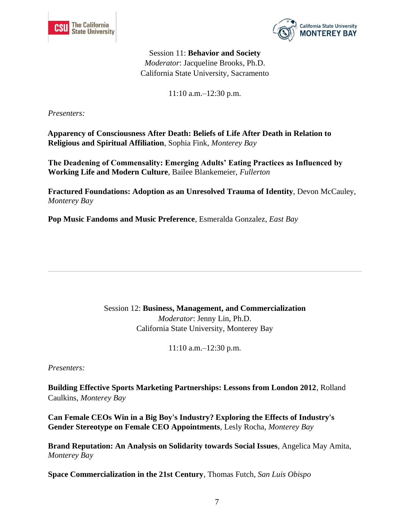



Session 11: **Behavior and Society** *Moderator*: Jacqueline Brooks, Ph.D. California State University, Sacramento

11:10 a.m.–12:30 p.m.

*Presenters:* 

**Apparency of Consciousness After Death: Beliefs of Life After Death in Relation to Religious and Spiritual Affiliation**, Sophia Fink, *Monterey Bay*

**The Deadening of Commensality: Emerging Adults' Eating Practices as Influenced by Working Life and Modern Culture**, Bailee Blankemeier, *Fullerton*

**Fractured Foundations: Adoption as an Unresolved Trauma of Identity**, Devon McCauley, *Monterey Bay*

**Pop Music Fandoms and Music Preference**, Esmeralda Gonzalez, *East Bay*

Session 12: **Business, Management, and Commercialization** *Moderator*: Jenny Lin, Ph.D. California State University, Monterey Bay

11:10 a.m.–12:30 p.m.

*Presenters:* 

**Building Effective Sports Marketing Partnerships: Lessons from London 2012**, Rolland Caulkins, *Monterey Bay*

**Can Female CEOs Win in a Big Boy's Industry? Exploring the Effects of Industry's Gender Stereotype on Female CEO Appointments**, Lesly Rocha, *Monterey Bay*

**Brand Reputation: An Analysis on Solidarity towards Social Issues**, Angelica May Amita, *Monterey Bay*

**Space Commercialization in the 21st Century**, Thomas Futch, *San Luis Obispo*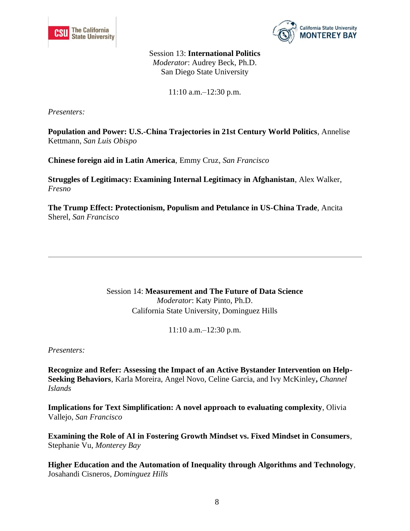



Session 13: **International Politics** *Moderator*: Audrey Beck, Ph.D. San Diego State University

11:10 a.m.–12:30 p.m.

*Presenters:* 

**Population and Power: U.S.-China Trajectories in 21st Century World Politics**, Annelise Kettmann, *San Luis Obispo*

**Chinese foreign aid in Latin America**, Emmy Cruz, *San Francisco*

**Struggles of Legitimacy: Examining Internal Legitimacy in Afghanistan**, Alex Walker, *Fresno*

**The Trump Effect: Protectionism, Populism and Petulance in US-China Trade**, Ancita Sherel, *San Francisco*

> Session 14: **Measurement and The Future of Data Science** *Moderator*: Katy Pinto, Ph.D. California State University, Dominguez Hills

> > 11:10 a.m.–12:30 p.m.

*Presenters:* 

**Recognize and Refer: Assessing the Impact of an Active Bystander Intervention on Help-Seeking Behaviors**, Karla Moreira, Angel Novo, Celine Garcia, and Ivy McKinley**,** *Channel Islands*

**Implications for Text Simplification: A novel approach to evaluating complexity**, Olivia Vallejo, *San Francisco*

**Examining the Role of AI in Fostering Growth Mindset vs. Fixed Mindset in Consumers**, Stephanie Vu, *Monterey Bay*

**Higher Education and the Automation of Inequality through Algorithms and Technology**, Josahandi Cisneros, *Dominguez Hills*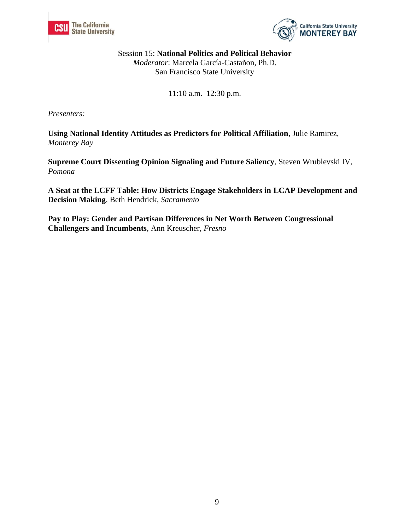



Session 15: **National Politics and Political Behavior** *Moderator*: Marcela García-Castañon, Ph.D. San Francisco State University

11:10 a.m.–12:30 p.m.

*Presenters:* 

**Using National Identity Attitudes as Predictors for Political Affiliation**, Julie Ramirez, *Monterey Bay*

**Supreme Court Dissenting Opinion Signaling and Future Saliency**, Steven Wrublevski IV, *Pomona*

**A Seat at the LCFF Table: How Districts Engage Stakeholders in LCAP Development and Decision Making**, Beth Hendrick, *Sacramento*

**Pay to Play: Gender and Partisan Differences in Net Worth Between Congressional Challengers and Incumbents**, Ann Kreuscher, *Fresno*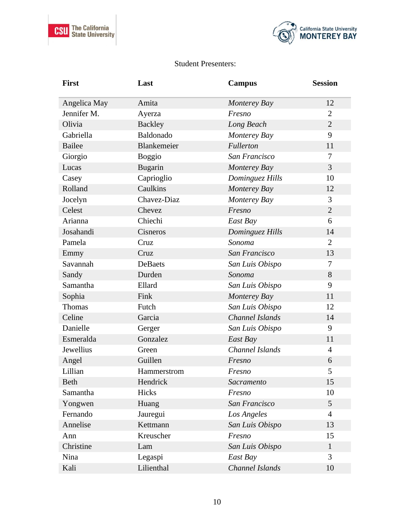



## Student Presenters:

| <b>First</b>  | Last           | <b>Campus</b>   | <b>Session</b> |
|---------------|----------------|-----------------|----------------|
| Angelica May  | Amita          | Monterey Bay    | 12             |
| Jennifer M.   | Ayerza         | Fresno          | $\overline{2}$ |
| Olivia        | <b>Backley</b> | Long Beach      | $\overline{2}$ |
| Gabriella     | Baldonado      | Monterey Bay    | 9              |
| <b>Bailee</b> | Blankemeier    | Fullerton       | 11             |
| Giorgio       | <b>Boggio</b>  | San Francisco   | 7              |
| Lucas         | <b>Bugarin</b> | Monterey Bay    | $\overline{3}$ |
| Casey         | Caprioglio     | Dominguez Hills | 10             |
| Rolland       | Caulkins       | Monterey Bay    | 12             |
| Jocelyn       | Chavez-Diaz    | Monterey Bay    | 3              |
| Celest        | Chevez         | Fresno          | $\overline{2}$ |
| Arianna       | Chiechi        | East Bay        | 6              |
| Josahandi     | Cisneros       | Dominguez Hills | 14             |
| Pamela        | Cruz           | Sonoma          | $\overline{2}$ |
| Emmy          | Cruz           | San Francisco   | 13             |
| Savannah      | DeBaets        | San Luis Obispo | $\tau$         |
| Sandy         | Durden         | Sonoma          | 8              |
| Samantha      | Ellard         | San Luis Obispo | 9              |
| Sophia        | Fink           | Monterey Bay    | 11             |
| Thomas        | Futch          | San Luis Obispo | 12             |
| Celine        | Garcia         | Channel Islands | 14             |
| Danielle      | Gerger         | San Luis Obispo | 9              |
| Esmeralda     | Gonzalez       | East Bay        | 11             |
| Jewellius     | Green          | Channel Islands | $\overline{4}$ |
| Angel         | Guillen        | Fresno          | 6              |
| Lillian       | Hammerstrom    | Fresno          | 5              |
| <b>Beth</b>   | Hendrick       | Sacramento      | 15             |
| Samantha      | Hicks          | Fresno          | 10             |
| Yongwen       | Huang          | San Francisco   | 5              |
| Fernando      | Jauregui       | Los Angeles     | $\overline{4}$ |
| Annelise      | Kettmann       | San Luis Obispo | 13             |
| Ann           | Kreuscher      | Fresno          | 15             |
| Christine     | Lam            | San Luis Obispo | $\mathbf{1}$   |
| Nina          | Legaspi        | East Bay        | 3              |
| Kali          | Lilienthal     | Channel Islands | 10             |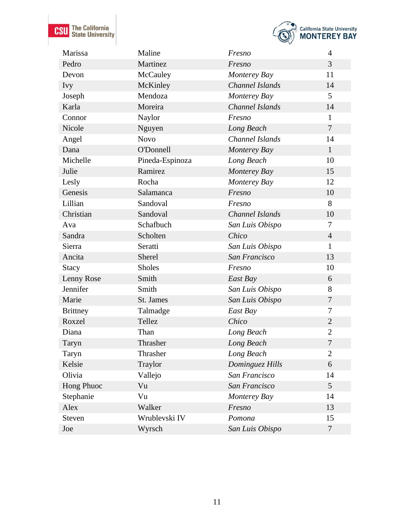**CSU** The California



| Marissa         | Maline          | Fresno          | $\overline{4}$ |
|-----------------|-----------------|-----------------|----------------|
| Pedro           | Martinez        | Fresno          | 3              |
| Devon           | McCauley        | Monterey Bay    | 11             |
| <i>Ivy</i>      | McKinley        | Channel Islands | 14             |
| Joseph          | Mendoza         | Monterey Bay    | 5              |
| Karla           | Moreira         | Channel Islands | 14             |
| Connor          | Naylor          | Fresno          | $\mathbf{1}$   |
| Nicole          | Nguyen          | Long Beach      | $\overline{7}$ |
| Angel           | <b>Novo</b>     | Channel Islands | 14             |
| Dana            | O'Donnell       | Monterey Bay    | $\mathbf{1}$   |
| Michelle        | Pineda-Espinoza | Long Beach      | 10             |
| Julie           | Ramirez         | Monterey Bay    | 15             |
| Lesly           | Rocha           | Monterey Bay    | 12             |
| Genesis         | Salamanca       | Fresno          | 10             |
| Lillian         | Sandoval        | Fresno          | 8              |
| Christian       | Sandoval        | Channel Islands | 10             |
| Ava             | Schafbuch       | San Luis Obispo | $\overline{7}$ |
| Sandra          | Scholten        | Chico           | $\overline{4}$ |
| Sierra          | Seratti         | San Luis Obispo | $\mathbf{1}$   |
| Ancita          | Sherel          | San Francisco   | 13             |
| Stacy           | <b>Sholes</b>   | Fresno          | 10             |
| Lenny Rose      | Smith           | East Bay        | 6              |
| Jennifer        | Smith           | San Luis Obispo | 8              |
| Marie           | St. James       | San Luis Obispo | $\overline{7}$ |
| <b>Brittney</b> | Talmadge        | East Bay        | 7              |
| Roxzel          | Tellez          | Chico           | $\mathbf{2}$   |
| Diana           | Than            | Long Beach      | $\overline{2}$ |
| Taryn           | Thrasher        | Long Beach      | 7              |
| Taryn           | Thrasher        | Long Beach      | $\overline{2}$ |
| Kelsie          | Traylor         | Dominguez Hills | 6              |
| Olivia          | Vallejo         | San Francisco   | 14             |
| Hong Phuoc      | Vu              | San Francisco   | 5              |
| Stephanie       | Vu              | Monterey Bay    | 14             |
| Alex            | Walker          | Fresno          | 13             |
| <b>Steven</b>   | Wrublevski IV   | Pomona          | 15             |
| Joe             | Wyrsch          | San Luis Obispo | $\overline{7}$ |